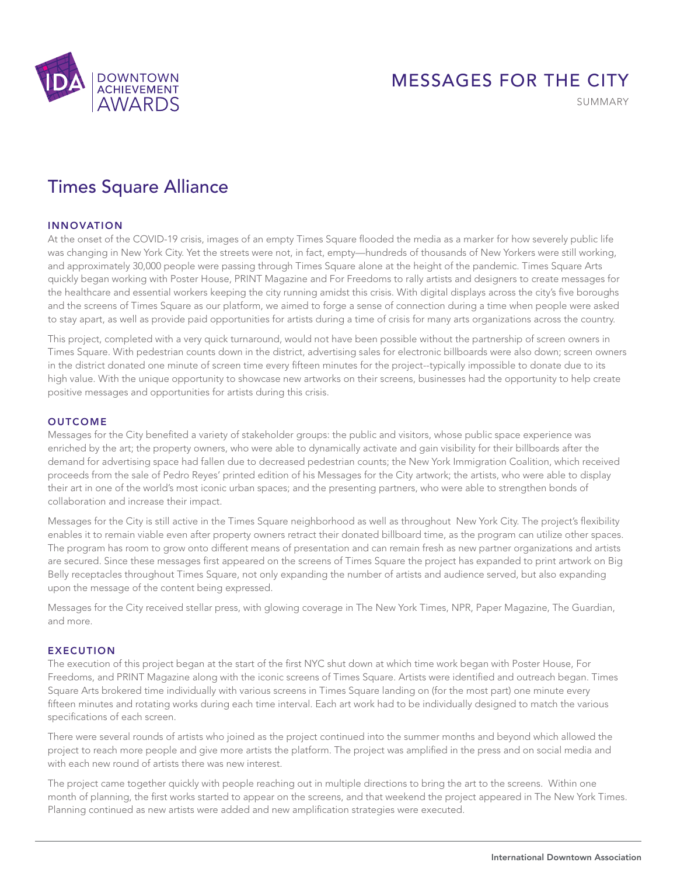

# MESSAGES FOR THE CITY

SUMMARY

## Times Square Alliance

## INNOVATION

At the onset of the COVID-19 crisis, images of an empty Times Square flooded the media as a marker for how severely public life was changing in New York City. Yet the streets were not, in fact, empty—hundreds of thousands of New Yorkers were still working, and approximately 30,000 people were passing through Times Square alone at the height of the pandemic. Times Square Arts quickly began working with Poster House, PRINT Magazine and For Freedoms to rally artists and designers to create messages for the healthcare and essential workers keeping the city running amidst this crisis. With digital displays across the city's five boroughs and the screens of Times Square as our platform, we aimed to forge a sense of connection during a time when people were asked to stay apart, as well as provide paid opportunities for artists during a time of crisis for many arts organizations across the country.

This project, completed with a very quick turnaround, would not have been possible without the partnership of screen owners in Times Square. With pedestrian counts down in the district, advertising sales for electronic billboards were also down; screen owners in the district donated one minute of screen time every fifteen minutes for the project--typically impossible to donate due to its high value. With the unique opportunity to showcase new artworks on their screens, businesses had the opportunity to help create positive messages and opportunities for artists during this crisis.

#### **OUTCOME**

Messages for the City benefited a variety of stakeholder groups: the public and visitors, whose public space experience was enriched by the art; the property owners, who were able to dynamically activate and gain visibility for their billboards after the demand for advertising space had fallen due to decreased pedestrian counts; the New York Immigration Coalition, which received proceeds from the sale of Pedro Reyes' printed edition of his Messages for the City artwork; the artists, who were able to display their art in one of the world's most iconic urban spaces; and the presenting partners, who were able to strengthen bonds of collaboration and increase their impact.

Messages for the City is still active in the Times Square neighborhood as well as throughout New York City. The project's flexibility enables it to remain viable even after property owners retract their donated billboard time, as the program can utilize other spaces. The program has room to grow onto different means of presentation and can remain fresh as new partner organizations and artists are secured. Since these messages first appeared on the screens of Times Square the project has expanded to print artwork on Big Belly receptacles throughout Times Square, not only expanding the number of artists and audience served, but also expanding upon the message of the content being expressed.

Messages for the City received stellar press, with glowing coverage in The New York Times, NPR, Paper Magazine, The Guardian, and more.

## EXECUTION

The execution of this project began at the start of the first NYC shut down at which time work began with Poster House, For Freedoms, and PRINT Magazine along with the iconic screens of Times Square. Artists were identified and outreach began. Times Square Arts brokered time individually with various screens in Times Square landing on (for the most part) one minute every fifteen minutes and rotating works during each time interval. Each art work had to be individually designed to match the various specifications of each screen.

There were several rounds of artists who joined as the project continued into the summer months and beyond which allowed the project to reach more people and give more artists the platform. The project was amplified in the press and on social media and with each new round of artists there was new interest.

The project came together quickly with people reaching out in multiple directions to bring the art to the screens. Within one month of planning, the first works started to appear on the screens, and that weekend the project appeared in The New York Times. Planning continued as new artists were added and new amplification strategies were executed.